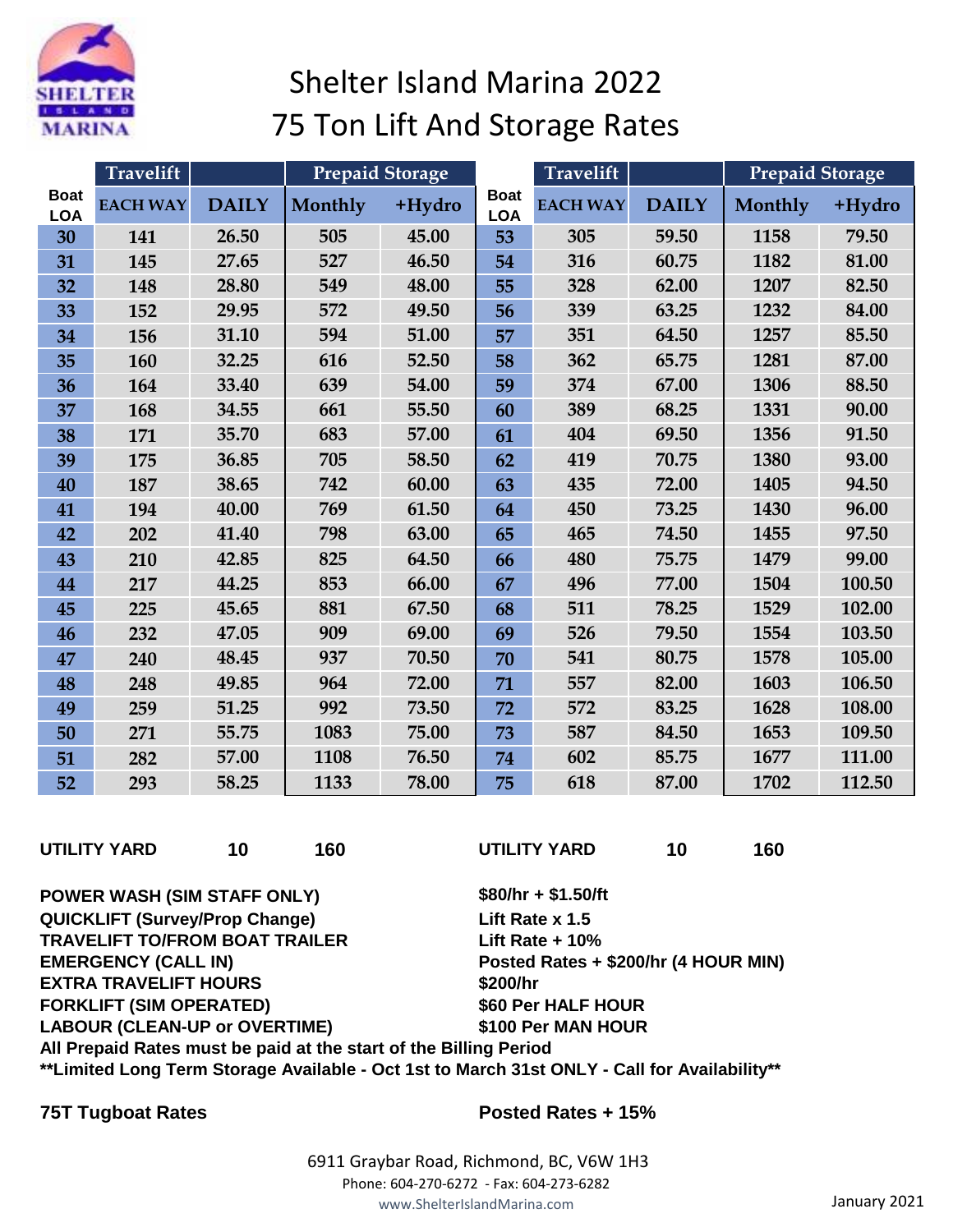

## Shelter Island Marina 2022 75 Ton Lift And Storage Rates

|                           | <b>Travelift</b> |              | <b>Prepaid Storage</b> |        | <b>Travelift</b>          |                 |              | Prepaid Storage |        |
|---------------------------|------------------|--------------|------------------------|--------|---------------------------|-----------------|--------------|-----------------|--------|
| <b>Boat</b><br><b>LOA</b> | <b>EACH WAY</b>  | <b>DAILY</b> | Monthly                | +Hydro | <b>Boat</b><br><b>LOA</b> | <b>EACH WAY</b> | <b>DAILY</b> | Monthly         | +Hydro |
| 30                        | 141              | 26.50        | 505                    | 45.00  | 53                        | 305             | 59.50        | 1158            | 79.50  |
| 31                        | 145              | 27.65        | 527                    | 46.50  | 54                        | 316             | 60.75        | 1182            | 81.00  |
| 32                        | 148              | 28.80        | 549                    | 48.00  | 55                        | 328             | 62.00        | 1207            | 82.50  |
| 33                        | 152              | 29.95        | 572                    | 49.50  | 56                        | 339             | 63.25        | 1232            | 84.00  |
| 34                        | 156              | 31.10        | 594                    | 51.00  | 57                        | 351             | 64.50        | 1257            | 85.50  |
| 35                        | 160              | 32.25        | 616                    | 52.50  | 58                        | 362             | 65.75        | 1281            | 87.00  |
| 36                        | 164              | 33.40        | 639                    | 54.00  | 59                        | 374             | 67.00        | 1306            | 88.50  |
| 37                        | 168              | 34.55        | 661                    | 55.50  | 60                        | 389             | 68.25        | 1331            | 90.00  |
| 38                        | 171              | 35.70        | 683                    | 57.00  | 61                        | 404             | 69.50        | 1356            | 91.50  |
| 39                        | 175              | 36.85        | 705                    | 58.50  | 62                        | 419             | 70.75        | 1380            | 93.00  |
| 40                        | 187              | 38.65        | 742                    | 60.00  | 63                        | 435             | 72.00        | 1405            | 94.50  |
| 41                        | 194              | 40.00        | 769                    | 61.50  | 64                        | 450             | 73.25        | 1430            | 96.00  |
| 42                        | 202              | 41.40        | 798                    | 63.00  | 65                        | 465             | 74.50        | 1455            | 97.50  |
| 43                        | 210              | 42.85        | 825                    | 64.50  | 66                        | 480             | 75.75        | 1479            | 99.00  |
| 44                        | 217              | 44.25        | 853                    | 66.00  | 67                        | 496             | 77.00        | 1504            | 100.50 |
| 45                        | 225              | 45.65        | 881                    | 67.50  | 68                        | 511             | 78.25        | 1529            | 102.00 |
| 46                        | 232              | 47.05        | 909                    | 69.00  | 69                        | 526             | 79.50        | 1554            | 103.50 |
| 47                        | 240              | 48.45        | 937                    | 70.50  | 70                        | 541             | 80.75        | 1578            | 105.00 |
| 48                        | 248              | 49.85        | 964                    | 72.00  | 71                        | 557             | 82.00        | 1603            | 106.50 |
| 49                        | 259              | 51.25        | 992                    | 73.50  | 72                        | 572             | 83.25        | 1628            | 108.00 |
| 50                        | 271              | 55.75        | 1083                   | 75.00  | 73                        | 587             | 84.50        | 1653            | 109.50 |
| 51                        | 282              | 57.00        | 1108                   | 76.50  | 74                        | 602             | 85.75        | 1677            | 111.00 |
| 52                        | 293              | 58.25        | 1133                   | 78.00  | 75                        | 618             | 87.00        | 1702            | 112.50 |

**UTILITY YARD 10 160 UTILITY YARD 10 160**

**POWER WASH (SIM STAFF ONLY) \$80/hr + \$1.50/ft QUICKLIFT (Survey/Prop Change) Lift Rate x 1.5 TRAVELIFT TO/FROM BOAT TRAILER Lift Rate + 10% EMERGENCY (CALL IN) Posted Rates + \$200/hr (4 HOUR MIN) EXTRA TRAVELIFT HOURS \$200/hr FORKLIFT (SIM OPERATED) \$60 Per HALF HOUR LABOUR (CLEAN-UP or OVERTIME) \$100 Per MAN HOUR All Prepaid Rates must be paid at the start of the Billing Period**

**\*\*Limited Long Term Storage Available - Oct 1st to March 31st ONLY - Call for Availability\*\***

## **75T Tugboat Rates Posted Rates + 15%**